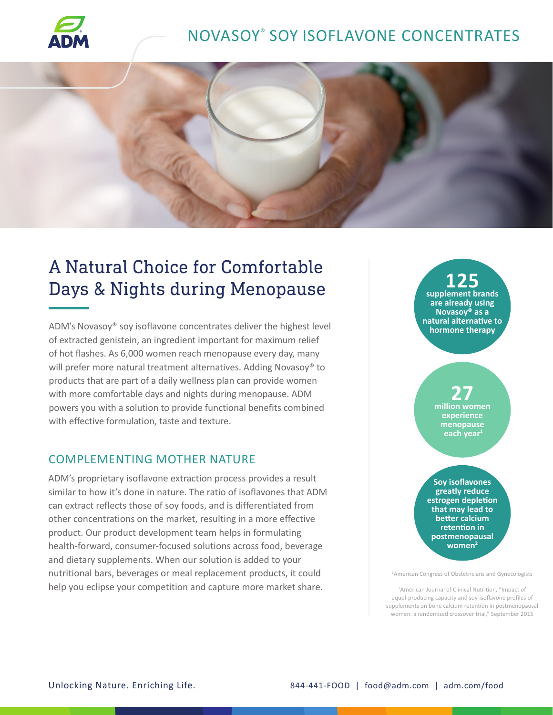

# NOVASOY® SOY ISOFLAVONE CONCENTRATES



# A Natural Choice for Comfortable Days & Nights during Menopause

ADM's Novasoy® soy isoflavone concentrates deliver the highest level of extracted genistein, an ingredient important for maximum relief of hot flashes. As 6,000 women reach menopause every day, many will prefer more natural treatment alternatives. Adding Novasoy® to products that are part of a daily wellness plan can provide women with more comfortable days and nights during menopause. ADM powers you with a solution to provide functional benefits combined with effective formulation, taste and texture.

### COMPLEMENTING MOTHER NATURE

ADM's proprietary isoflavone extraction process provides a result similar to how it's done in nature. The ratio of isoflavones that ADM can extract reflects those of soy foods, and is differentiated from other concentrations on the market, resulting in a more effective product. Our product development team helps in formulating health-forward, consumer-focused solutions across food, beverage and dietary supplements. When our solution is added to your nutritional bars, beverages or meal replacement products, it could help you eclipse your competition and capture more market share.

**125 supplement brands are already using Novasoy® as a natural alternative to hormone therapy**

## **27 million women experience menopause each year1**

**Soy isoflavones greatly reduce estrogen depletion that may lead to better calcium retention in postmenopausal women2**

1 American Congress of Obstetricians and Gynecologists

<sup>2</sup> American Journal of Clinical Nutrition, "Impact of equol-producing capacity and soy-isoflavone profiles of supplements on bone calcium retention in postmenopausal women: a randomized crossover trial," September 2015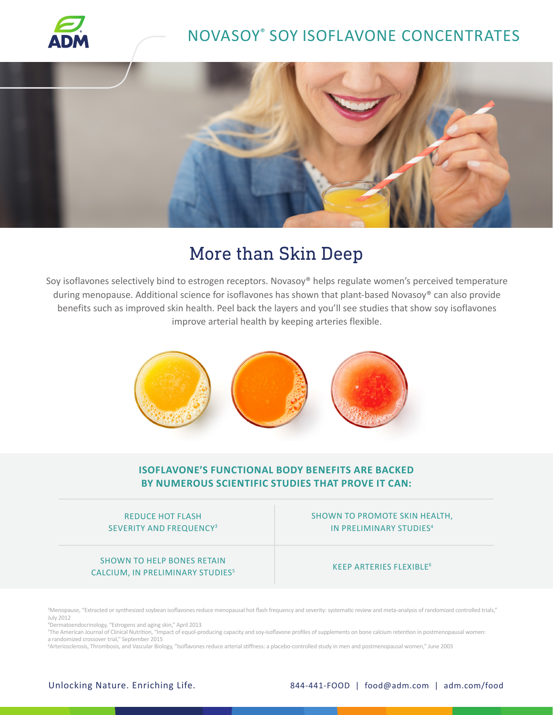

# NOVASOY® SOY ISOFLAVONE CONCENTRATES



# More than Skin Deep

Soy isoflavones selectively bind to estrogen receptors. Novasoy® helps regulate women's perceived temperature during menopause. Additional science for isoflavones has shown that plant-based Novasoy® can also provide benefits such as improved skin health. Peel back the layers and you'll see studies that show soy isoflavones improve arterial health by keeping arteries flexible.



### **ISOFLAVONE'S FUNCTIONAL BODY BENEFITS ARE BACKED BY NUMEROUS SCIENTIFIC STUDIES THAT PROVE IT CAN:**

#### REDUCE HOT FLASH SEVERITY AND FREQUENCY3

#### SHOWN TO HELP BONES RETAIN CALCIUM, IN PRELIMINARY STUDIES5

### SHOWN TO PROMOTE SKIN HEALTH, IN PRELIMINARY STUDIES4

#### KEEP ARTERIES FLEXIBLE<sup>6</sup>

3 Menopause, "Extracted or synthesized soybean isoflavones reduce menopausal hot flash frequency and severity: systematic review and meta-analysis of randomized controlled trials," July 2012

4 Dermatoendocrinology, "Estrogens and aging skin," April 2013

5 The American Journal of Clinical Nutrition, "Impact of equol-producing capacity and soy-isoflavone profiles of supplements on bone calcium retention in postmenopausal women: a randomized crossover trial," September 2015

6 Arteriosclerosis, Thrombosis, and Vascular Biology, "Isoflavones reduce arterial stiffness: a placebo-controlled study in men and postmenopausal women," June 2003